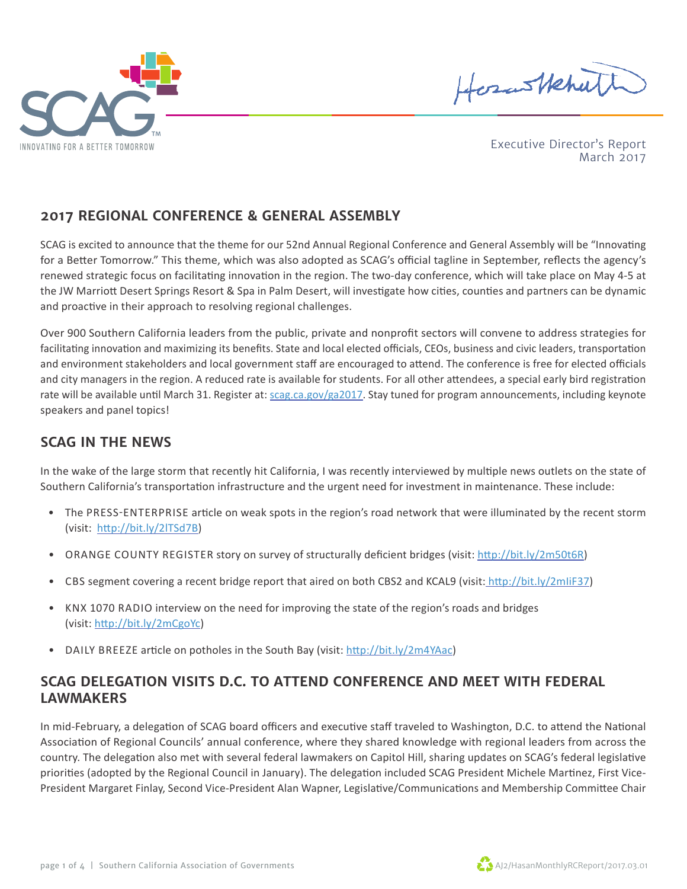



Executive Director's Report March 2017

#### **2017 REGIONAL CONFERENCE & GENERAL ASSEMBLY**

SCAG is excited to announce that the theme for our 52nd Annual Regional Conference and General Assembly will be "Innovating for a Better Tomorrow." This theme, which was also adopted as SCAG's official tagline in September, reflects the agency's renewed strategic focus on facilitating innovation in the region. The two-day conference, which will take place on May 4-5 at the JW Marriott Desert Springs Resort & Spa in Palm Desert, will investigate how cities, counties and partners can be dynamic and proactive in their approach to resolving regional challenges.

Over 900 Southern California leaders from the public, private and nonprofit sectors will convene to address strategies for facilitating innovation and maximizing its benefits. State and local elected officials, CEOs, business and civic leaders, transportation and environment stakeholders and local government staff are encouraged to attend. The conference is free for elected officials and city managers in the region. A reduced rate is available for students. For all other attendees, a special early bird registration rate will be available until March 31. Register at: [scag.ca.gov/ga2017](http://www.scag.ca.gov/GA2017). Stay tuned for program announcements, including keynote speakers and panel topics!

#### **SCAG IN THE NEWS**

In the wake of the large storm that recently hit California, I was recently interviewed by multiple news outlets on the state of Southern California's transportation infrastructure and the urgent need for investment in maintenance. These include:

- The PRESS-ENTERPRISE article on weak spots in the region's road network that were illuminated by the recent storm (visit: http://bit.ly/2lTSd7B)
- ORANGE COUNTY REGISTER story on survey of structurally deficient bridges (visit: http://bit.ly/2m50t6R)
- CBS segment covering a recent bridge report that aired on both CBS2 and KCAL9 (visit: http://bit.ly/2mIiF37)
- KNX 1070 RADIO interview on the need for improving the state of the region's roads and bridges (visit: http://bit.ly/2mCgoYc)
- DAILY BREEZE article on potholes in the South Bay (visit: http://bit.ly/2m4YAac)

#### **SCAG DELEGATION VISITS D.C. TO ATTEND CONFERENCE AND MEET WITH FEDERAL LAWMAKERS**

In mid-February, a delegation of SCAG board officers and executive staff traveled to Washington, D.C. to attend the National Association of Regional Councils' annual conference, where they shared knowledge with regional leaders from across the country. The delegation also met with several federal lawmakers on Capitol Hill, sharing updates on SCAG's federal legislative priorities (adopted by the Regional Council in January). The delegation included SCAG President Michele Martinez, First Vice-President Margaret Finlay, Second Vice-President Alan Wapner, Legislative/Communications and Membership Committee Chair

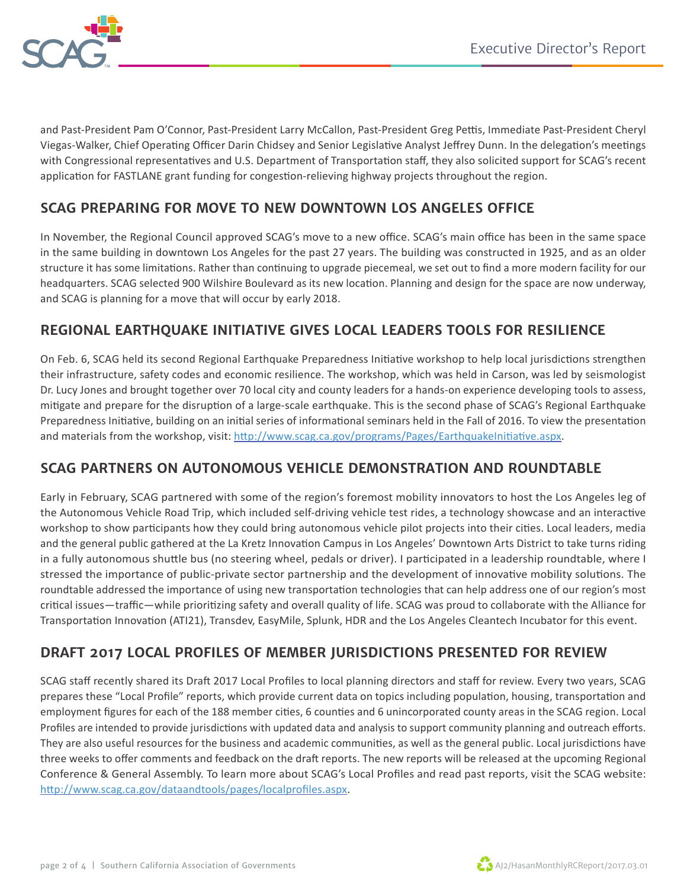

and Past-President Pam O'Connor, Past-President Larry McCallon, Past-President Greg Pettis, Immediate Past-President Cheryl Viegas-Walker, Chief Operating Officer Darin Chidsey and Senior Legislative Analyst Jeffrey Dunn. In the delegation's meetings with Congressional representatives and U.S. Department of Transportation staff, they also solicited support for SCAG's recent application for FASTLANE grant funding for congestion-relieving highway projects throughout the region.

# **SCAG PREPARING FOR MOVE TO NEW DOWNTOWN LOS ANGELES OFFICE**

In November, the Regional Council approved SCAG's move to a new office. SCAG's main office has been in the same space in the same building in downtown Los Angeles for the past 27 years. The building was constructed in 1925, and as an older structure it has some limitations. Rather than continuing to upgrade piecemeal, we set out to find a more modern facility for our headquarters. SCAG selected 900 Wilshire Boulevard as its new location. Planning and design for the space are now underway, and SCAG is planning for a move that will occur by early 2018.

# **REGIONAL EARTHQUAKE INITIATIVE GIVES LOCAL LEADERS TOOLS FOR RESILIENCE**

On Feb. 6, SCAG held its second Regional Earthquake Preparedness Initiative workshop to help local jurisdictions strengthen their infrastructure, safety codes and economic resilience. The workshop, which was held in Carson, was led by seismologist Dr. Lucy Jones and brought together over 70 local city and county leaders for a hands-on experience developing tools to assess, mitigate and prepare for the disruption of a large-scale earthquake. This is the second phase of SCAG's Regional Earthquake Preparedness Initiative, building on an initial series of informational seminars held in the Fall of 2016. To view the presentation and materials from the workshop, visit: http://www.scag.ca.gov/programs/Pages/EarthquakeInitiative.aspx.

# **SCAG PARTNERS ON AUTONOMOUS VEHICLE DEMONSTRATION AND ROUNDTABLE**

Early in February, SCAG partnered with some of the region's foremost mobility innovators to host the Los Angeles leg of the Autonomous Vehicle Road Trip, which included self-driving vehicle test rides, a technology showcase and an interactive workshop to show participants how they could bring autonomous vehicle pilot projects into their cities. Local leaders, media and the general public gathered at the La Kretz Innovation Campus in Los Angeles' Downtown Arts District to take turns riding in a fully autonomous shuttle bus (no steering wheel, pedals or driver). I participated in a leadership roundtable, where I stressed the importance of public-private sector partnership and the development of innovative mobility solutions. The roundtable addressed the importance of using new transportation technologies that can help address one of our region's most critical issues—traffic—while prioritizing safety and overall quality of life. SCAG was proud to collaborate with the Alliance for Transportation Innovation (ATI21), Transdev, EasyMile, Splunk, HDR and the Los Angeles Cleantech Incubator for this event.

# **DRAFT 2017 LOCAL PROFILES OF MEMBER JURISDICTIONS PRESENTED FOR REVIEW**

SCAG staff recently shared its Draft 2017 Local Profiles to local planning directors and staff for review. Every two years, SCAG prepares these "Local Profile" reports, which provide current data on topics including population, housing, transportation and employment figures for each of the 188 member cities, 6 counties and 6 unincorporated county areas in the SCAG region. Local Profiles are intended to provide jurisdictions with updated data and analysis to support community planning and outreach efforts. They are also useful resources for the business and academic communities, as well as the general public. Local jurisdictions have three weeks to offer comments and feedback on the draft reports. The new reports will be released at the upcoming Regional Conference & General Assembly. To learn more about SCAG's Local Profiles and read past reports, visit the SCAG website: http://www.scag.ca.gov/dataandtools/pages/localprofiles.aspx.

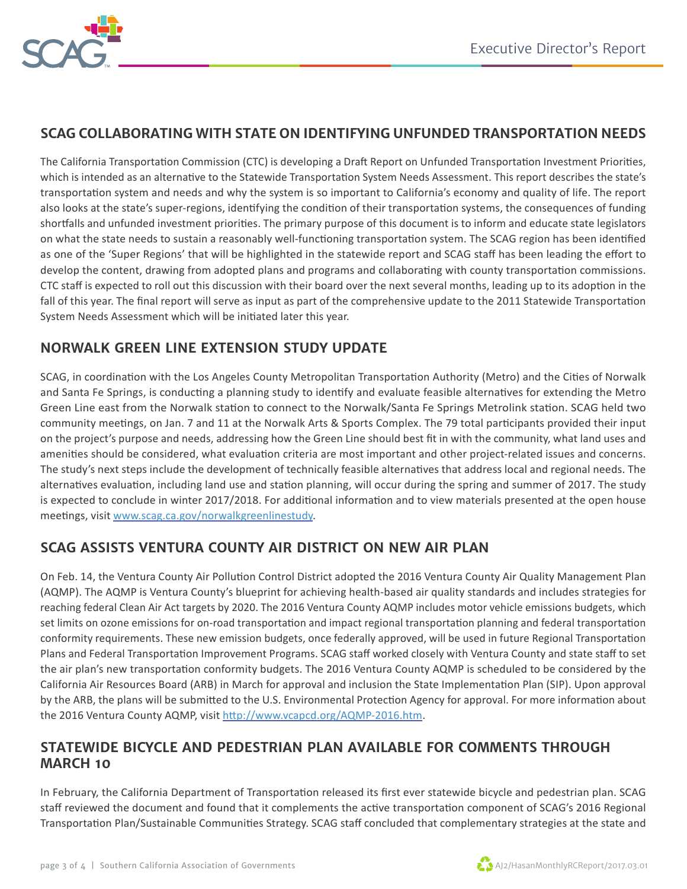

# **SCAG COLLABORATING WITH STATE ON IDENTIFYING UNFUNDED TRANSPORTATION NEEDS**

The California Transportation Commission (CTC) is developing a Draft Report on Unfunded Transportation Investment Priorities, which is intended as an alternative to the Statewide Transportation System Needs Assessment. This report describes the state's transportation system and needs and why the system is so important to California's economy and quality of life. The report also looks at the state's super-regions, identifying the condition of their transportation systems, the consequences of funding shortfalls and unfunded investment priorities. The primary purpose of this document is to inform and educate state legislators on what the state needs to sustain a reasonably well-functioning transportation system. The SCAG region has been identified as one of the 'Super Regions' that will be highlighted in the statewide report and SCAG staff has been leading the effort to develop the content, drawing from adopted plans and programs and collaborating with county transportation commissions. CTC staff is expected to roll out this discussion with their board over the next several months, leading up to its adoption in the fall of this year. The final report will serve as input as part of the comprehensive update to the 2011 Statewide Transportation System Needs Assessment which will be initiated later this year.

# **NORWALK GREEN LINE EXTENSION STUDY UPDATE**

SCAG, in coordination with the Los Angeles County Metropolitan Transportation Authority (Metro) and the Cities of Norwalk and Santa Fe Springs, is conducting a planning study to identify and evaluate feasible alternatives for extending the Metro Green Line east from the Norwalk station to connect to the Norwalk/Santa Fe Springs Metrolink station. SCAG held two community meetings, on Jan. 7 and 11 at the Norwalk Arts & Sports Complex. The 79 total participants provided their input on the project's purpose and needs, addressing how the Green Line should best fit in with the community, what land uses and amenities should be considered, what evaluation criteria are most important and other project-related issues and concerns. The study's next steps include the development of technically feasible alternatives that address local and regional needs. The alternatives evaluation, including land use and station planning, will occur during the spring and summer of 2017. The study is expected to conclude in winter 2017/2018. For additional information and to view materials presented at the open house meetings, visit www.scag.ca.gov/norwalkgreenlinestudy.

# **SCAG ASSISTS VENTURA COUNTY AIR DISTRICT ON NEW AIR PLAN**

On Feb. 14, the Ventura County Air Pollution Control District adopted the 2016 Ventura County Air Quality Management Plan (AQMP). The AQMP is Ventura County's blueprint for achieving health-based air quality standards and includes strategies for reaching federal Clean Air Act targets by 2020. The 2016 Ventura County AQMP includes motor vehicle emissions budgets, which set limits on ozone emissions for on-road transportation and impact regional transportation planning and federal transportation conformity requirements. These new emission budgets, once federally approved, will be used in future Regional Transportation Plans and Federal Transportation Improvement Programs. SCAG staff worked closely with Ventura County and state staff to set the air plan's new transportation conformity budgets. The 2016 Ventura County AQMP is scheduled to be considered by the California Air Resources Board (ARB) in March for approval and inclusion the State Implementation Plan (SIP). Upon approval by the ARB, the plans will be submitted to the U.S. Environmental Protection Agency for approval. For more information about the 2016 Ventura County AQMP, visit http://www.vcapcd.org/AQMP-2016.htm.

#### **STATEWIDE BICYCLE AND PEDESTRIAN PLAN AVAILABLE FOR COMMENTS THROUGH MARCH 10**

In February, the California Department of Transportation released its first ever statewide bicycle and pedestrian plan. SCAG staff reviewed the document and found that it complements the active transportation component of SCAG's 2016 Regional Transportation Plan/Sustainable Communities Strategy. SCAG staff concluded that complementary strategies at the state and